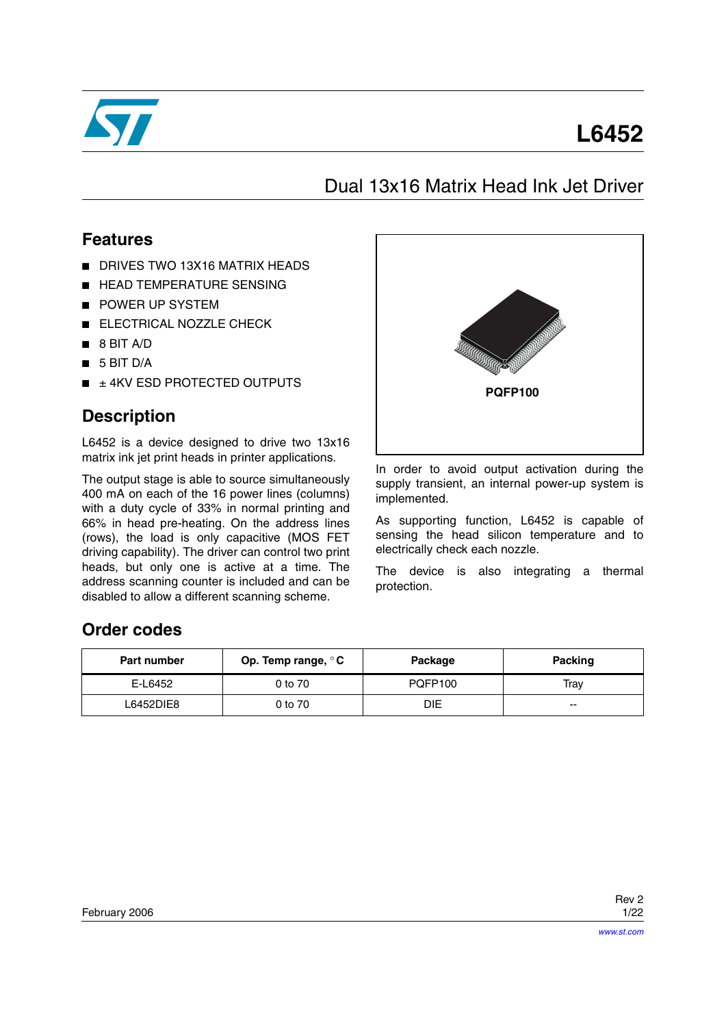

# **L6452**

# Dual 13x16 Matrix Head Ink Jet Driver

### **Features**

- DRIVES TWO 13X16 MATRIX HEADS
- HEAD TEMPERATURE SENSING
- POWER UP SYSTEM
- ELECTRICAL NOZZLE CHECK
- 8 BIT A/D
- 5 BIT D/A
- $\blacksquare$   $\pm$  4KV ESD PROTECTED OUTPUTS

## **Description**

L6452 is a device designed to drive two 13x16 matrix ink jet print heads in printer applications.

The output stage is able to source simultaneously 400 mA on each of the 16 power lines (columns) with a duty cycle of 33% in normal printing and 66% in head pre-heating. On the address lines (rows), the load is only capacitive (MOS FET driving capability). The driver can control two print heads, but only one is active at a time. The address scanning counter is included and can be disabled to allow a different scanning scheme.



In order to avoid output activation during the supply transient, an internal power-up system is implemented.

As supporting function, L6452 is capable of sensing the head silicon temperature and to electrically check each nozzle.

The device is also integrating a thermal protection.

## **Order codes**

| <b>Part number</b> | Op. Temp range, $\circ$ C<br>Package |                | Packing |
|--------------------|--------------------------------------|----------------|---------|
| E-L6452            | 0 to 70                              | <b>POFP100</b> | Trav    |
| L6452DIE8          | 0 to 70                              | DIE            | $- -$   |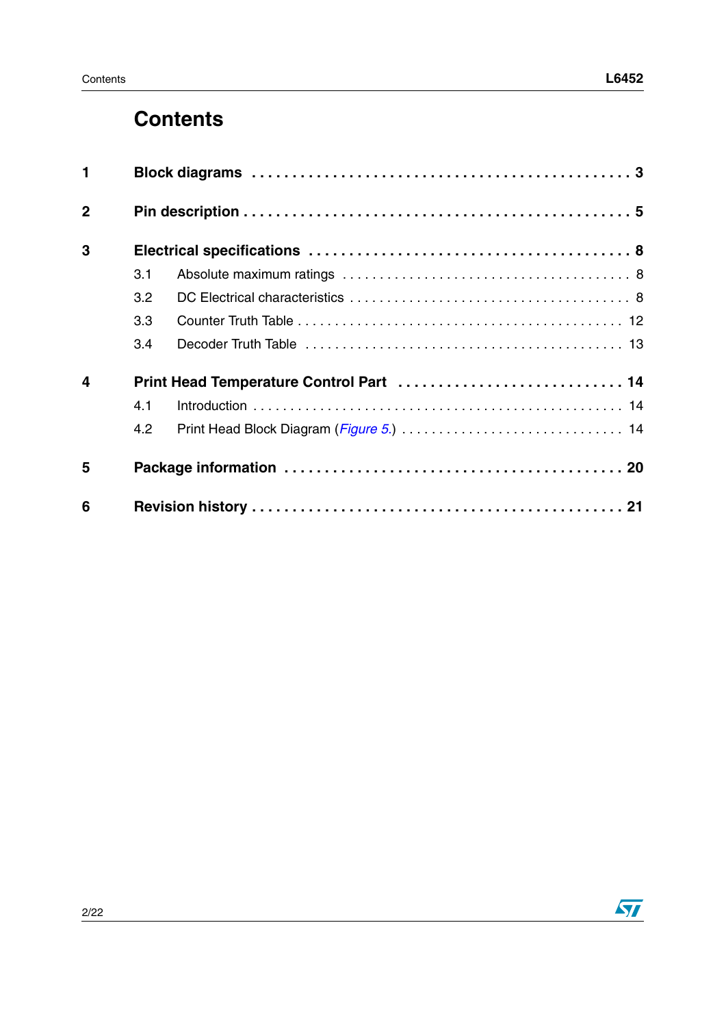# **Contents**

| $\mathbf{1}$   |     |                                         |
|----------------|-----|-----------------------------------------|
| $\overline{2}$ |     |                                         |
| 3              |     |                                         |
|                | 3.1 |                                         |
|                | 3.2 |                                         |
|                | 3.3 |                                         |
|                | 3.4 |                                         |
| $\overline{4}$ |     | Print Head Temperature Control Part  14 |
|                | 4.1 |                                         |
|                | 4.2 |                                         |
| 5              |     |                                         |
| 6              |     |                                         |

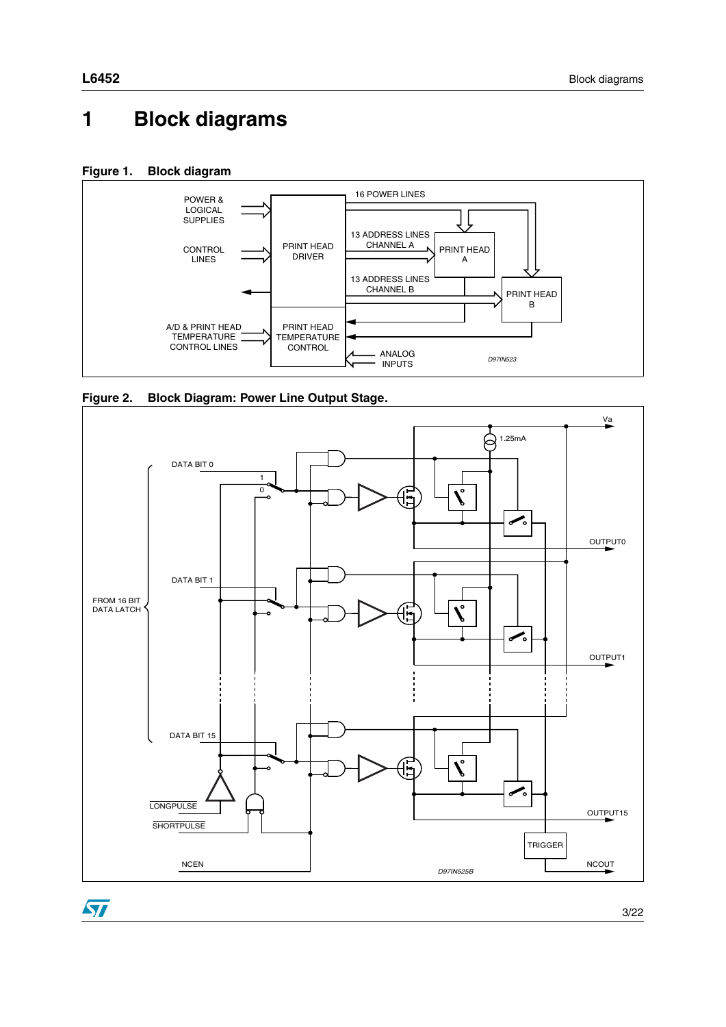# <span id="page-2-0"></span>**1 Block diagrams**







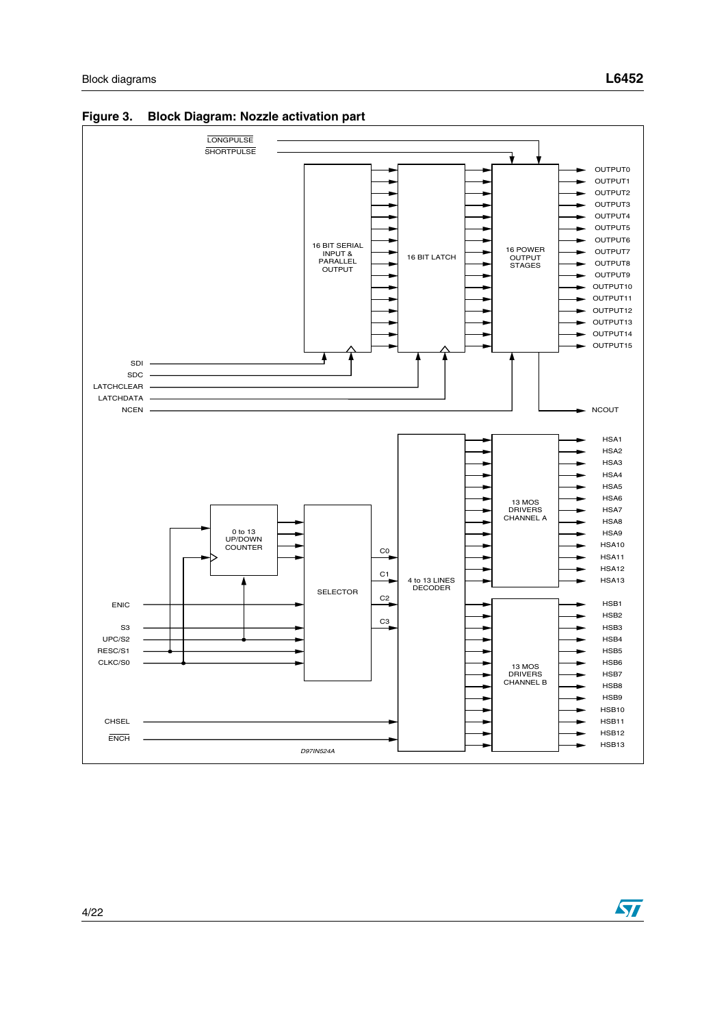

**Figure 3. Block Diagram: Nozzle activation part**

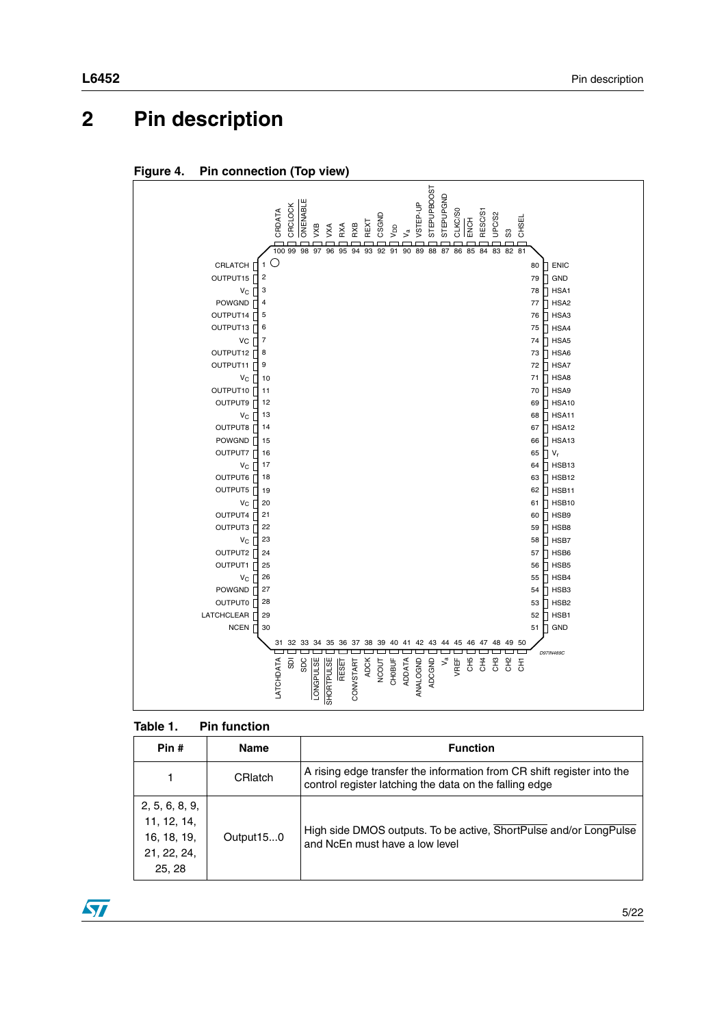# <span id="page-4-0"></span>**2 Pin description**

**Figure 4. Pin connection (Top view)**



<span id="page-4-1"></span>

| Pin #                                                                 | <b>Name</b>    | <b>Function</b>                                                                                                                  |
|-----------------------------------------------------------------------|----------------|----------------------------------------------------------------------------------------------------------------------------------|
|                                                                       | <b>CRIatch</b> | A rising edge transfer the information from CR shift register into the<br>control register latching the data on the falling edge |
| 2, 5, 6, 8, 9,<br>11, 12, 14,<br>16, 18, 19,<br>21, 22, 24,<br>25, 28 | Output150      | High side DMOS outputs. To be active, ShortPulse and/or LongPulse<br>and NcEn must have a low level                              |

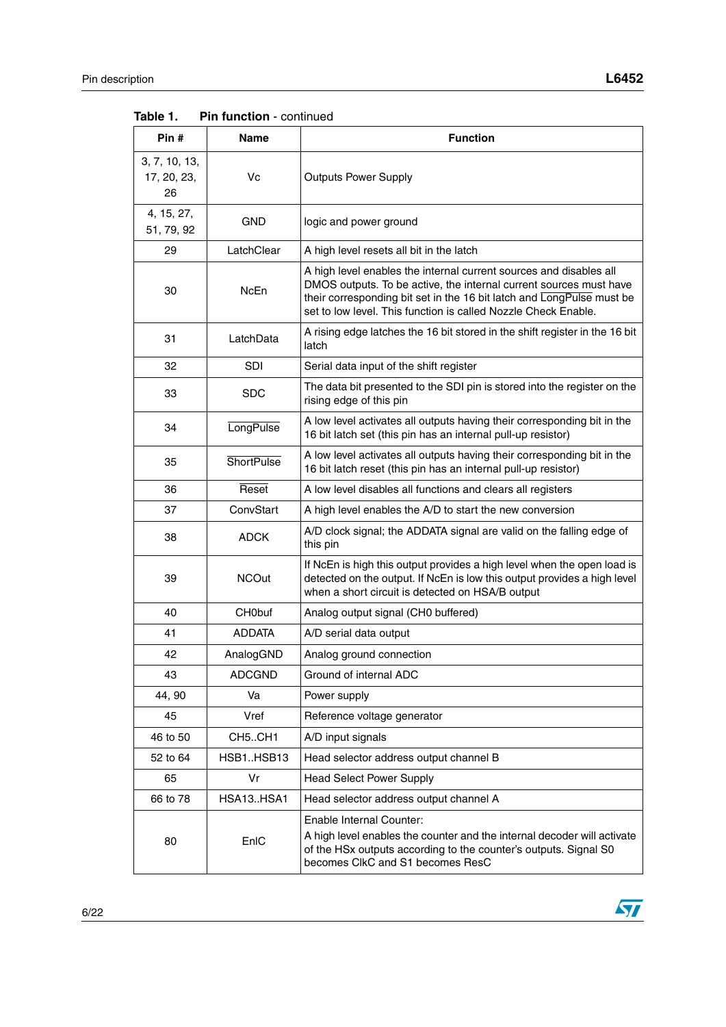| Pin#                               | Name              | <b>Function</b>                                                                                                                                                                                                                                                                     |  |
|------------------------------------|-------------------|-------------------------------------------------------------------------------------------------------------------------------------------------------------------------------------------------------------------------------------------------------------------------------------|--|
| 3, 7, 10, 13,<br>17, 20, 23,<br>26 | Vc                | <b>Outputs Power Supply</b>                                                                                                                                                                                                                                                         |  |
| 4, 15, 27,<br>51, 79, 92           | <b>GND</b>        | logic and power ground                                                                                                                                                                                                                                                              |  |
| 29                                 | LatchClear        | A high level resets all bit in the latch                                                                                                                                                                                                                                            |  |
| 30                                 | NcEn              | A high level enables the internal current sources and disables all<br>DMOS outputs. To be active, the internal current sources must have<br>their corresponding bit set in the 16 bit latch and LongPulse must be<br>set to low level. This function is called Nozzle Check Enable. |  |
| 31                                 | LatchData         | A rising edge latches the 16 bit stored in the shift register in the 16 bit<br>latch                                                                                                                                                                                                |  |
| 32                                 | <b>SDI</b>        | Serial data input of the shift register                                                                                                                                                                                                                                             |  |
| 33                                 | <b>SDC</b>        | The data bit presented to the SDI pin is stored into the register on the<br>rising edge of this pin                                                                                                                                                                                 |  |
| 34                                 | <b>LongPulse</b>  | A low level activates all outputs having their corresponding bit in the<br>16 bit latch set (this pin has an internal pull-up resistor)                                                                                                                                             |  |
| 35                                 | <b>ShortPulse</b> | A low level activates all outputs having their corresponding bit in the<br>16 bit latch reset (this pin has an internal pull-up resistor)                                                                                                                                           |  |
| 36                                 | Reset             | A low level disables all functions and clears all registers                                                                                                                                                                                                                         |  |
| 37                                 | ConvStart         | A high level enables the A/D to start the new conversion                                                                                                                                                                                                                            |  |
| 38                                 | <b>ADCK</b>       | A/D clock signal; the ADDATA signal are valid on the falling edge of<br>this pin                                                                                                                                                                                                    |  |
| 39                                 | <b>NCOut</b>      | If NcEn is high this output provides a high level when the open load is<br>detected on the output. If NcEn is low this output provides a high level<br>when a short circuit is detected on HSA/B output                                                                             |  |
| 40                                 | CH0buf            | Analog output signal (CH0 buffered)                                                                                                                                                                                                                                                 |  |
| 41                                 | <b>ADDATA</b>     | A/D serial data output                                                                                                                                                                                                                                                              |  |
| 42                                 | AnalogGND         | Analog ground connection                                                                                                                                                                                                                                                            |  |
| 43                                 | <b>ADCGND</b>     | Ground of internal ADC                                                                                                                                                                                                                                                              |  |
| 44, 90                             | Va                | Power supply                                                                                                                                                                                                                                                                        |  |
| 45                                 | Vref              | Reference voltage generator                                                                                                                                                                                                                                                         |  |
| 46 to 50                           | CH5CH1            | A/D input signals                                                                                                                                                                                                                                                                   |  |
| 52 to 64                           | HSB1HSB13         | Head selector address output channel B                                                                                                                                                                                                                                              |  |
| 65                                 | Vr                | <b>Head Select Power Supply</b>                                                                                                                                                                                                                                                     |  |
| 66 to 78                           | HSA13HSA1         | Head selector address output channel A                                                                                                                                                                                                                                              |  |
| 80                                 | EnIC              | Enable Internal Counter:<br>A high level enables the counter and the internal decoder will activate<br>of the HSx outputs according to the counter's outputs. Signal S0<br>becomes CIkC and S1 becomes ResC                                                                         |  |

**Table 1.** Pin function - continued

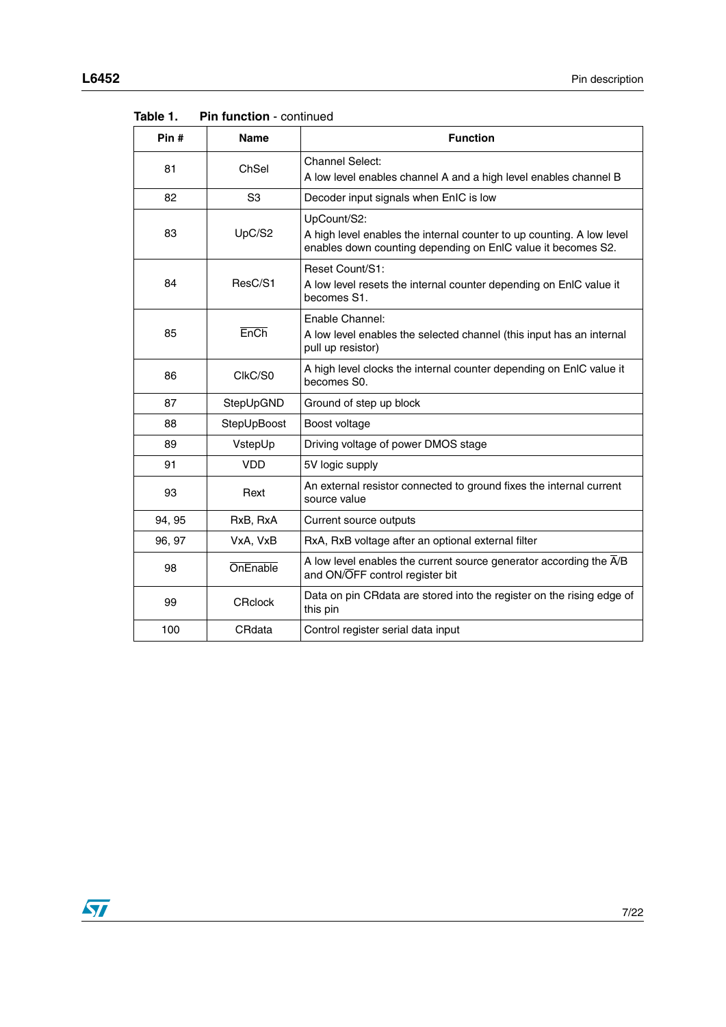| Pin#   | <b>Name</b>    | <b>Function</b>                                                                                                                                      |  |
|--------|----------------|------------------------------------------------------------------------------------------------------------------------------------------------------|--|
| 81     | ChSel          | <b>Channel Select:</b><br>A low level enables channel A and a high level enables channel B                                                           |  |
| 82     | S <sub>3</sub> | Decoder input signals when EnIC is low                                                                                                               |  |
| 83     | UpC/S2         | UpCount/S2:<br>A high level enables the internal counter to up counting. A low level<br>enables down counting depending on EnIC value it becomes S2. |  |
| 84     | ResC/S1        | Reset Count/S1:<br>A low level resets the internal counter depending on EnIC value it<br>becomes S1.                                                 |  |
| 85     | EnCh           | Enable Channel:<br>A low level enables the selected channel (this input has an internal<br>pull up resistor)                                         |  |
| 86     | ClkC/S0        | A high level clocks the internal counter depending on EnIC value it<br>becomes S0.                                                                   |  |
| 87     | StepUpGND      | Ground of step up block                                                                                                                              |  |
| 88     | StepUpBoost    | Boost voltage                                                                                                                                        |  |
| 89     | VstepUp        | Driving voltage of power DMOS stage                                                                                                                  |  |
| 91     | VDD            | 5V logic supply                                                                                                                                      |  |
| 93     | Rext           | An external resistor connected to ground fixes the internal current<br>source value                                                                  |  |
| 94, 95 | RxB, RxA       | Current source outputs                                                                                                                               |  |
| 96, 97 | VxA, VxB       | RxA, RxB voltage after an optional external filter                                                                                                   |  |
| 98     | OnEnable       | A low level enables the current source generator according the A/B<br>and ON/OFF control register bit                                                |  |
| 99     | <b>CRclock</b> | Data on pin CRdata are stored into the register on the rising edge of<br>this pin                                                                    |  |
| 100    | CRdata         | Control register serial data input                                                                                                                   |  |

**Table 1.** Pin function - continued

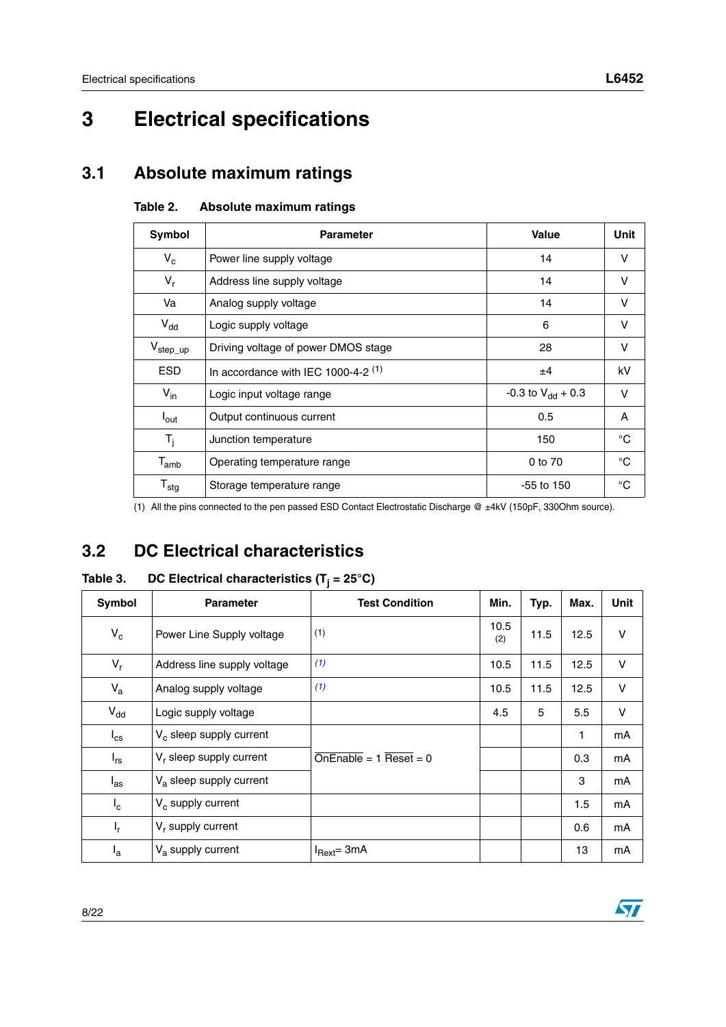# <span id="page-7-0"></span>**3 Electrical specifications**

## <span id="page-7-3"></span><span id="page-7-1"></span>**3.1 Absolute maximum ratings**

| Symbol                    | <b>Parameter</b>                      | <b>Value</b>           | Unit        |
|---------------------------|---------------------------------------|------------------------|-------------|
| $V_c$                     | Power line supply voltage             | 14                     | v           |
| $V_r$                     | Address line supply voltage           | 14                     | V           |
| Va                        | Analog supply voltage                 | 14                     | v           |
| $V_{dd}$                  | Logic supply voltage                  | 6                      | v           |
| $V_{\sf step\_up}$        | Driving voltage of power DMOS stage   | 28                     | v           |
| <b>ESD</b>                | In accordance with IEC 1000-4-2 $(1)$ | ±4                     | kV          |
| $V_{in}$                  | Logic input voltage range             | -0.3 to $V_{dd}$ + 0.3 | v           |
| $I_{\text{out}}$          | Output continuous current             | 0.5                    | A           |
| $T_i$                     | Junction temperature                  | 150                    | $^{\circ}C$ |
| $T_{amb}$                 | Operating temperature range           | 0 to 70                | $^{\circ}C$ |
| $\mathsf{T}_{\text{stg}}$ | Storage temperature range             | $-55$ to 150           | °C          |

### **Table 2. Absolute maximum ratings**

(1) All the pins connected to the pen passed ESD Contact Electrostatic Discharge @ ±4kV (150pF, 330Ohm source).

## <span id="page-7-2"></span>**3.2 DC Electrical characteristics**

### <span id="page-7-4"></span>**Table 3. DC Electrical characteristics (Tj = 25°C)**

| Symbol          | <b>Parameter</b>            | <b>Test Condition</b>                      | Min.        | Typ. | Max. | Unit   |
|-----------------|-----------------------------|--------------------------------------------|-------------|------|------|--------|
| $V_c$           | Power Line Supply voltage   | (1)                                        | 10.5<br>(2) | 11.5 | 12.5 | V      |
| $V_r$           | Address line supply voltage | (1)                                        | 10.5        | 11.5 | 12.5 | $\vee$ |
| $V_{a}$         | Analog supply voltage       | (1)                                        | 10.5        | 11.5 | 12.5 | $\vee$ |
| $V_{dd}$        | Logic supply voltage        |                                            | 4.5         | 5    | 5.5  | V      |
| $I_{\text{cs}}$ | $V_c$ sleep supply current  |                                            |             |      | 1    | mA     |
| $I_{rs}$        | $V_r$ sleep supply current  | $\overline{\text{OnEnable}} = 1$ Reset = 0 |             |      | 0.3  | mA     |
| $I_{\text{as}}$ | $V_a$ sleep supply current  |                                            |             |      | 3    | mA     |
| $I_c$           | $V_c$ supply current        |                                            |             |      | 1.5  | mA     |
| $I_r$           | $V_r$ supply current        |                                            |             |      | 0.6  | mA     |
| ۱a              | $Va$ supply current         | $I_{\text{Rext}} = 3mA$                    |             |      | 13   | mA     |

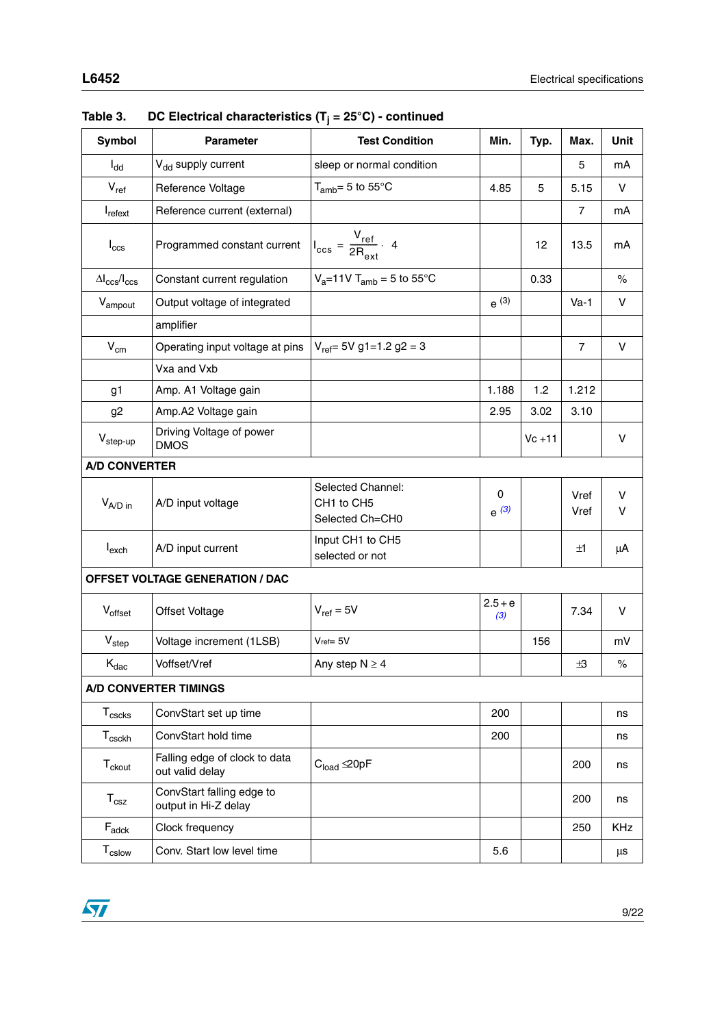| <b>Symbol</b>                    | <b>Parameter</b>                                  | <b>Test Condition</b>                                         | Min.                     | Typ.      | Max.           | Unit       |
|----------------------------------|---------------------------------------------------|---------------------------------------------------------------|--------------------------|-----------|----------------|------------|
| $I_{dd}$                         | V <sub>dd</sub> supply current                    | sleep or normal condition                                     |                          |           | 5              | mA         |
| $V_{ref}$                        | Reference Voltage                                 | $T_{amb} = 5$ to $55^{\circ}$ C                               | 4.85                     | 5         | 5.15           | V          |
| $I_{\text{refext}}$              | Reference current (external)                      |                                                               |                          |           | $\overline{7}$ | mA         |
| $I_{\rm ccs}$                    | Programmed constant current                       | $I_{\text{ccs}} = \frac{V_{\text{ref}}}{2R_{\text{ext}}}$ . 4 |                          | 12        | 13.5           | mA         |
| $\Delta I_{\rm CCS}/I_{\rm CCS}$ | Constant current regulation                       | $V_a = 11V$ T <sub>amb</sub> = 5 to 55°C                      |                          | 0.33      |                | $\%$       |
| V <sub>ampout</sub>              | Output voltage of integrated                      |                                                               | $e^{(3)}$                |           | $Va-1$         | V          |
|                                  | amplifier                                         |                                                               |                          |           |                |            |
| $V_{\text{cm}}$                  | Operating input voltage at pins                   | $V_{ref}$ = 5V g1=1.2 g2 = 3                                  |                          |           | $\overline{7}$ | V          |
|                                  | Vxa and Vxb                                       |                                                               |                          |           |                |            |
| g <sub>1</sub>                   | Amp. A1 Voltage gain                              |                                                               | 1.188                    | 1.2       | 1.212          |            |
| g <sub>2</sub>                   | Amp.A2 Voltage gain                               |                                                               | 2.95                     | 3.02      | 3.10           |            |
| $V_{step-up}$                    | Driving Voltage of power<br><b>DMOS</b>           |                                                               |                          | $Vc + 11$ |                | V          |
| <b>A/D CONVERTER</b>             |                                                   |                                                               |                          |           |                |            |
| $V_{A/D}$ in                     | A/D input voltage                                 | Selected Channel:<br>CH1 to CH5<br>Selected Ch=CH0            | $\mathbf 0$<br>$e^{(3)}$ |           | Vref<br>Vref   | V<br>v     |
| $I_{\text{exch}}$                | A/D input current                                 | Input CH1 to CH5<br>selected or not                           |                          |           | ±1             | μA         |
|                                  | <b>OFFSET VOLTAGE GENERATION / DAC</b>            |                                                               |                          |           |                |            |
| $V_{offset}$                     | Offset Voltage                                    | $V_{ref} = 5V$                                                | $2.5 + e$<br>(3)         |           | 7.34           | V          |
| $V_{step}$                       | Voltage increment (1LSB)                          | $Vref = 5V$                                                   |                          | 156       |                | mV         |
| $\rm K_{dac}$                    | Voffset/Vref                                      | Any step $N \ge 4$                                            |                          |           | $\pm$ 3        | $\%$       |
|                                  | <b>A/D CONVERTER TIMINGS</b>                      |                                                               |                          |           |                |            |
| $T_{\text{cscks}}$               | ConvStart set up time                             |                                                               | 200                      |           |                | ns         |
| $T_{\text{csckh}}$               | ConvStart hold time                               |                                                               | 200                      |           |                | ns         |
| $T_{\text{ckout}}$               | Falling edge of clock to data<br>out valid delay  | $C_{load} \trianglelefteq 0pF$                                |                          |           | 200            | ns         |
| $T_{\rm csz}$                    | ConvStart falling edge to<br>output in Hi-Z delay |                                                               |                          |           | 200            | ns         |
| $\mathsf{F}_{\mathsf{adck}}$     | Clock frequency                                   |                                                               |                          |           | 250            | <b>KHz</b> |
| T <sub>cslow</sub>               | Conv. Start low level time                        |                                                               | 5.6                      |           |                | μs         |

| DC Electrical characteristics ( $T_i = 25^{\circ}C$ ) - continued<br>Table 3. |  |
|-------------------------------------------------------------------------------|--|
|-------------------------------------------------------------------------------|--|

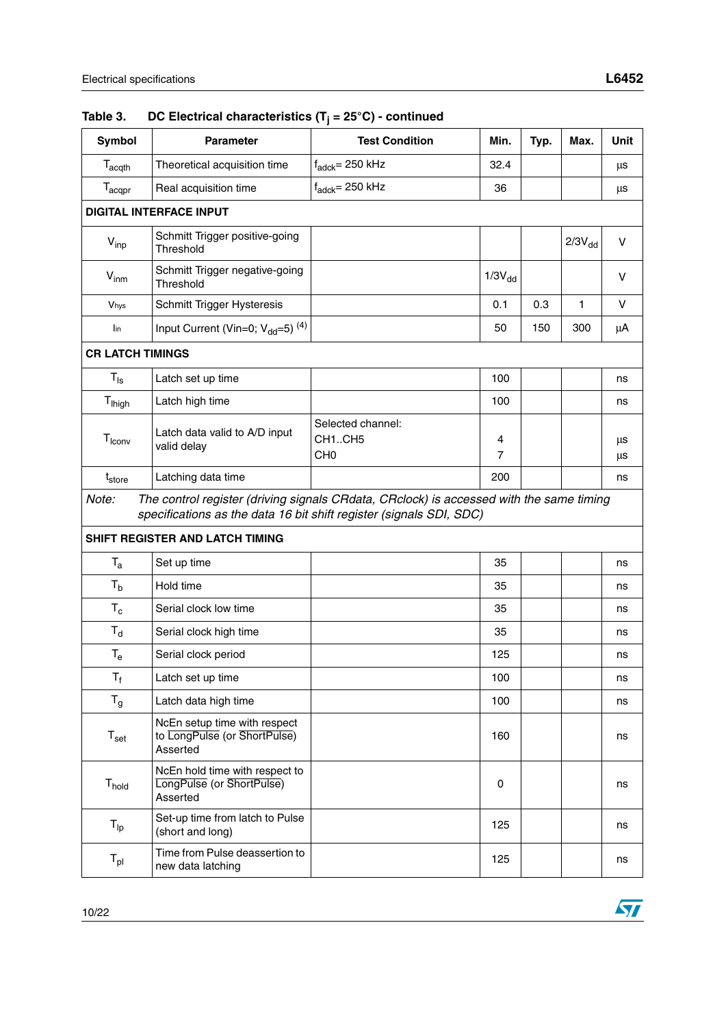| <b>Symbol</b>              | <b>Parameter</b>                                                         | <b>Test Condition</b>                                                                                                                                          | Min.        | Typ. | Max.         | <b>Unit</b> |
|----------------------------|--------------------------------------------------------------------------|----------------------------------------------------------------------------------------------------------------------------------------------------------------|-------------|------|--------------|-------------|
| $T_{\text{acqth}}$         | Theoretical acquisition time                                             | $f_{\text{adck}} = 250$ kHz                                                                                                                                    | 32.4        |      |              | μs          |
| $T_{acqpr}$                | Real acquisition time                                                    | $f_{\text{adck}} = 250$ kHz                                                                                                                                    | 36          |      |              | μs          |
|                            | <b>DIGITAL INTERFACE INPUT</b>                                           |                                                                                                                                                                |             |      |              |             |
| $V_{inp}$                  | Schmitt Trigger positive-going<br>Threshold                              |                                                                                                                                                                |             |      | $2/3V_{dd}$  | V           |
| $V_{\text{inm}}$           | Schmitt Trigger negative-going<br>Threshold                              |                                                                                                                                                                | $1/3V_{dd}$ |      |              | v           |
| Vhys                       | Schmitt Trigger Hysteresis                                               |                                                                                                                                                                | 0.1         | 0.3  | $\mathbf{1}$ | V           |
| lin                        | Input Current (Vin=0; $V_{dd}$ =5) <sup>(4)</sup>                        |                                                                                                                                                                | 50          | 150  | 300          | μA          |
| <b>CR LATCH TIMINGS</b>    |                                                                          |                                                                                                                                                                |             |      |              |             |
| $T_{\text{ls}}$            | Latch set up time                                                        |                                                                                                                                                                | 100         |      |              | ns          |
| T <sub>lhigh</sub>         | Latch high time                                                          |                                                                                                                                                                | 100         |      |              | ns          |
| $T_{\text{low}}$           | Latch data valid to A/D input<br>valid delay                             | Selected channel:<br>CH1CH5<br>CH <sub>0</sub>                                                                                                                 | 4<br>7      |      |              | μs<br>μs    |
| $t_{store}$                | Latching data time                                                       |                                                                                                                                                                | 200         |      |              | ns          |
| Note:                      |                                                                          | The control register (driving signals CRdata, CRclock) is accessed with the same timing<br>specifications as the data 16 bit shift register (signals SDI, SDC) |             |      |              |             |
|                            | SHIFT REGISTER AND LATCH TIMING                                          |                                                                                                                                                                |             |      |              |             |
| $T_{a}$                    | Set up time                                                              |                                                                                                                                                                | 35          |      |              | ns          |
| $T_{b}$                    | Hold time                                                                |                                                                                                                                                                | 35          |      |              | ns          |
| $T_c$                      | Serial clock low time                                                    |                                                                                                                                                                | 35          |      |              | ns          |
| $T_{d}$                    | Serial clock high time                                                   |                                                                                                                                                                | 35          |      |              | ns          |
| $T_{e}$                    | Serial clock period                                                      |                                                                                                                                                                | 125         |      |              | ns          |
| $T_f$                      | Latch set up time                                                        |                                                                                                                                                                | 100         |      |              | ns          |
| $T_g$                      | Latch data high time                                                     |                                                                                                                                                                | 100         |      |              | ns          |
| $T_{\rm set}$              | NcEn setup time with respect<br>to LongPulse (or ShortPulse)<br>Asserted |                                                                                                                                                                | 160         |      |              | ns          |
| T <sub>hold</sub>          | NcEn hold time with respect to<br>LongPulse (or ShortPulse)<br>Asserted  |                                                                                                                                                                | 0           |      |              | ns          |
| $\mathsf{T}_{\mathsf{lp}}$ | Set-up time from latch to Pulse<br>(short and long)                      |                                                                                                                                                                | 125         |      |              | ns          |
| $T_{\sf pl}$               | Time from Pulse deassertion to<br>new data latching                      |                                                                                                                                                                | 125         |      |              | ns          |

### **Table 3. DC Electrical characteristics (Tj = 25°C) - continued**

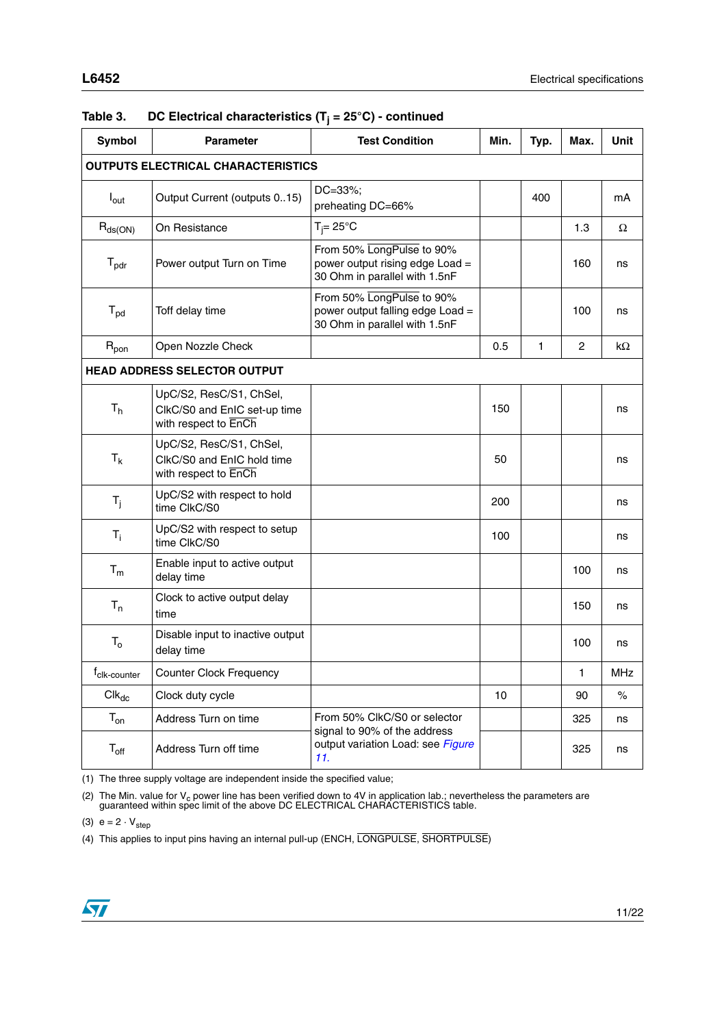| <b>Symbol</b>                             | <b>Parameter</b>                                                                | <b>Test Condition</b><br>Min.                                                                  |     | Typ. | Max. | Unit |
|-------------------------------------------|---------------------------------------------------------------------------------|------------------------------------------------------------------------------------------------|-----|------|------|------|
| <b>OUTPUTS ELECTRICAL CHARACTERISTICS</b> |                                                                                 |                                                                                                |     |      |      |      |
| $I_{\text{out}}$                          | Output Current (outputs 015)                                                    | DC=33%;<br>preheating DC=66%                                                                   | 400 |      |      | mA   |
| $R_{ds(ON)}$                              | On Resistance                                                                   | $T_i = 25^{\circ}C$                                                                            |     |      | 1.3  | Ω    |
| $T_{\text{pdr}}$                          | Power output Turn on Time                                                       | From 50% LongPulse to 90%<br>power output rising edge Load =<br>30 Ohm in parallel with 1.5nF  |     |      | 160  | ns   |
| $T_{\text{pd}}$                           | Toff delay time                                                                 | From 50% LongPulse to 90%<br>power output falling edge Load =<br>30 Ohm in parallel with 1.5nF |     |      | 100  | ns   |
| $R_{\text{pon}}$                          | Open Nozzle Check                                                               |                                                                                                | 0.5 | 1    | 2    | kΩ   |
| <b>HEAD ADDRESS SELECTOR OUTPUT</b>       |                                                                                 |                                                                                                |     |      |      |      |
| T <sub>h</sub>                            | UpC/S2, ResC/S1, ChSel,<br>ClkC/S0 and EnIC set-up time<br>with respect to EnCh |                                                                                                | 150 |      |      | ns   |
| $T_{k}$                                   | UpC/S2, ResC/S1, ChSel,<br>ClkC/S0 and EnIC hold time<br>with respect to EnCh   |                                                                                                | 50  |      |      | ns   |
| $T_j$                                     | UpC/S2 with respect to hold<br>time ClkC/S0                                     |                                                                                                | 200 |      |      | ns   |
| $T_i$                                     | UpC/S2 with respect to setup<br>time ClkC/S0                                    |                                                                                                | 100 |      |      | ns   |
| $T_m$                                     | Enable input to active output<br>delay time                                     |                                                                                                |     |      | 100  | ns   |
| $T_{n}$                                   | Clock to active output delay<br>time                                            |                                                                                                |     |      | 150  | ns   |
| $T_{o}$                                   | Disable input to inactive output<br>delay time                                  |                                                                                                |     |      | 100  | ns   |
| $f_{\text{clk-counter}}$                  | <b>Counter Clock Frequency</b>                                                  |                                                                                                |     |      | 1    | MHz  |
| $Clk_{dc}$                                | Clock duty cycle                                                                |                                                                                                | 10  |      | 90   | $\%$ |
| $T_{on}$                                  | Address Turn on time                                                            | From 50% CIkC/S0 or selector<br>signal to 90% of the address                                   |     |      | 325  | ns   |
| $T_{\rm off}$                             | Address Turn off time                                                           | output variation Load: see Figure<br>11.                                                       |     |      | 325  | ns   |

### **Table 3. DC Electrical characteristics (Tj = 25°C) - continued**

<span id="page-10-0"></span>(1) The three supply voltage are independent inside the specified value;

(2) The Min. value for V<sub>c</sub> power line has been verified down to 4V in application lab.; nevertheless the parameters are guaranteed within spec limit of the above DC ELECTRICAL CHARACTERISTICS table.

<span id="page-10-1"></span>(3)  $e = 2 \cdot V_{step}$ 

(4) This applies to input pins having an internal pull-up (ENCH, LONGPULSE, SHORTPULSE)

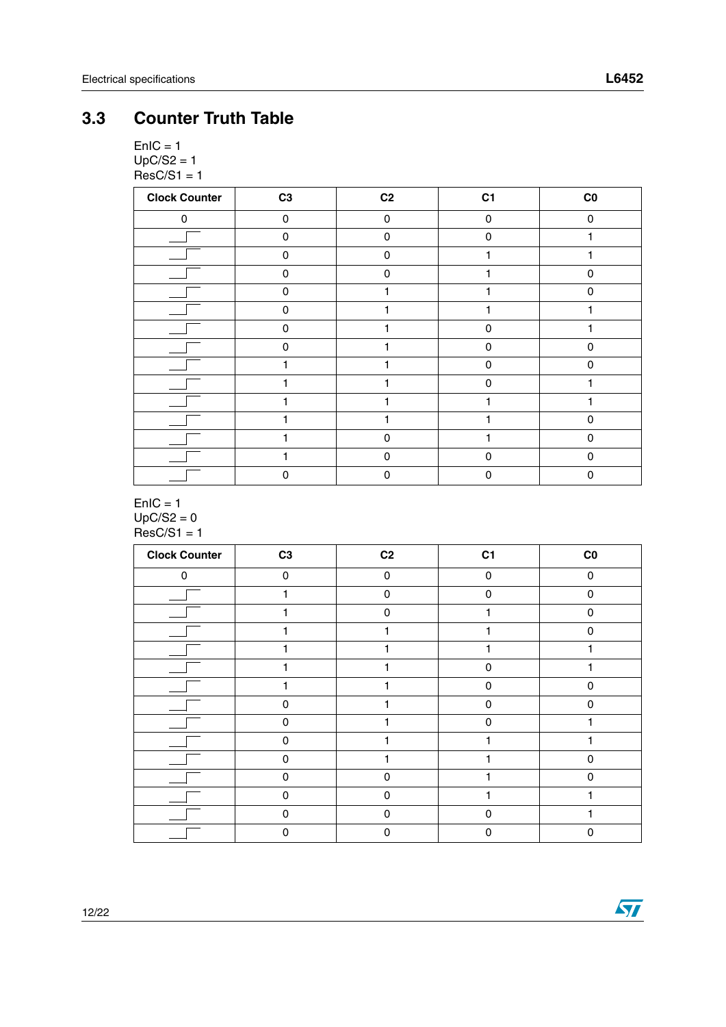$\sqrt{2}$ 

## <span id="page-11-0"></span>**3.3 Counter Truth Table**

 $EnIC = 1$  $UpC/S2 = 1$  $ResC/S1 = 1$ 

| <b>Clock Counter</b> | C <sub>3</sub> | C <sub>2</sub> | C <sub>1</sub> | $_{\rm CO}$ |
|----------------------|----------------|----------------|----------------|-------------|
| 0                    | 0              | $\mathbf 0$    | 0              | $\mathbf 0$ |
|                      | $\Omega$       | 0              | 0              |             |
|                      | 0              | $\Omega$       |                |             |
|                      | $\mathbf 0$    | $\pmb{0}$      |                | $\mathbf 0$ |
|                      | 0              |                |                | $\Omega$    |
|                      | $\Omega$       |                |                |             |
|                      | 0              |                | n              |             |
|                      | 0              |                | $\Omega$       | $\mathbf 0$ |
|                      |                |                | $\Omega$       | $\Omega$    |
|                      |                |                | n              |             |
|                      |                |                |                |             |
|                      |                |                |                | $\Omega$    |
|                      |                | 0              |                | $\Omega$    |
|                      |                | 0              | n              | 0           |
|                      | 0              | $\mathbf 0$    | $\Omega$       | $\mathbf 0$ |

#### $EnIC = 1$  $UpC/S2 = 0$  $ResC/S1 = 1$

| <b>Clock Counter</b> | C <sub>3</sub> | C <sub>2</sub> | C <sub>1</sub> | $_{\rm CO}$ |
|----------------------|----------------|----------------|----------------|-------------|
| $\Omega$             | $\Omega$       | $\mathbf{0}$   | $\Omega$       | $\Omega$    |
|                      | 1              | $\mathbf 0$    | $\Omega$       | $\Omega$    |
|                      |                | $\mathbf{0}$   |                | $\Omega$    |
|                      |                | 1              |                | $\Omega$    |
|                      |                |                |                |             |
|                      |                | ۹              | $\Omega$       |             |
|                      |                |                | $\Omega$       | $\Omega$    |
|                      | $\Omega$       |                | $\mathbf 0$    | $\Omega$    |
|                      | $\Omega$       |                | $\mathbf 0$    |             |
|                      | $\Omega$       |                |                |             |
|                      | $\Omega$       |                |                | $\Omega$    |
|                      | $\Omega$       | $\mathbf 0$    |                | $\Omega$    |
|                      | $\Omega$       | $\pmb{0}$      |                |             |
|                      | $\Omega$       | $\mathbf 0$    | $\Omega$       |             |
|                      | 0              | 0              | 0              | 0           |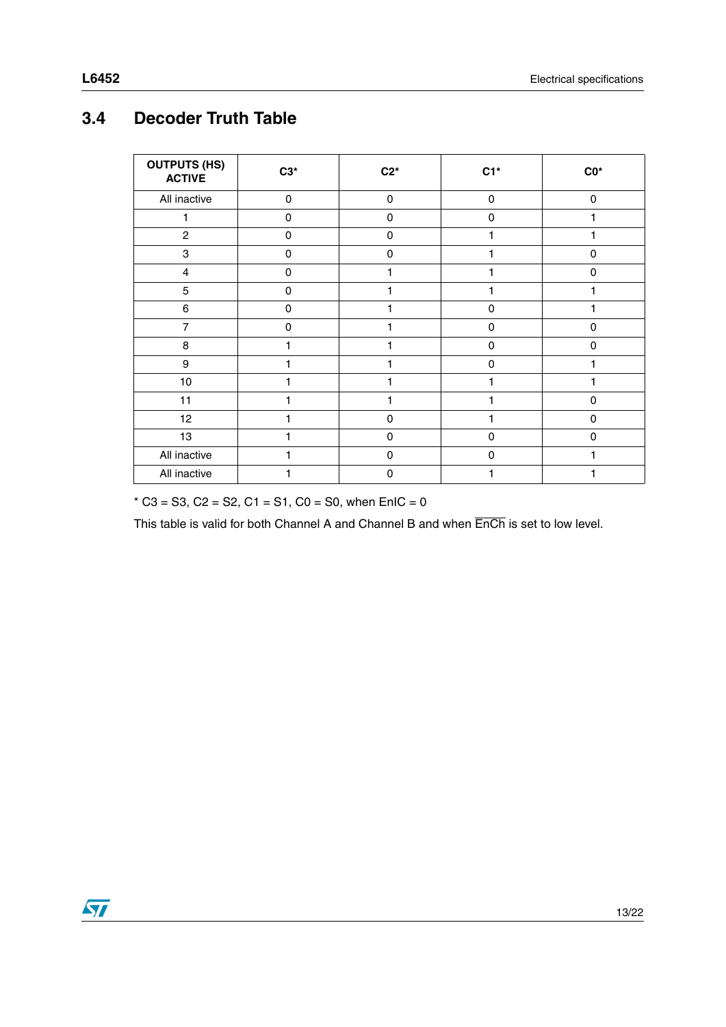## <span id="page-12-0"></span>**3.4 Decoder Truth Table**

| <b>OUTPUTS (HS)</b><br><b>ACTIVE</b> | $C3*$       | $C2*$       | $C1*$       | $CO*$       |
|--------------------------------------|-------------|-------------|-------------|-------------|
| All inactive                         | $\mathbf 0$ | 0           | $\mathbf 0$ | 0           |
| 1                                    | $\mathbf 0$ | $\mathbf 0$ | 0           | 1           |
| $\overline{2}$                       | 0           | $\Omega$    | 1           | 1           |
| $\ensuremath{\mathsf{3}}$            | 0           | $\mathbf 0$ |             | $\mathbf 0$ |
| $\overline{4}$                       | $\mathbf 0$ | 1           |             | $\mathbf 0$ |
| 5                                    | 0           | 1           |             |             |
| $\,6\,$                              | 0           | 1           | $\mathbf 0$ |             |
| $\overline{7}$                       | $\mathbf 0$ | 1           | $\mathbf 0$ | $\mathbf 0$ |
| 8                                    |             | 1           | 0           | 0           |
| $\boldsymbol{9}$                     |             | 1           | $\mathbf 0$ |             |
| 10                                   |             | 1           |             |             |
| 11                                   |             | 1           |             | $\mathbf 0$ |
| 12                                   |             | $\mathbf 0$ |             | $\mathbf 0$ |
| 13                                   |             | $\mathbf 0$ | $\mathbf 0$ | $\mathbf 0$ |
| All inactive                         |             | $\mathbf 0$ | $\mathbf 0$ |             |
| All inactive                         |             | $\mathbf 0$ |             | 1           |

 $*$  C3 = S3, C2 = S2, C1 = S1, C0 = S0, when EnIC = 0

This table is valid for both Channel A and Channel B and when EnCh is set to low level.

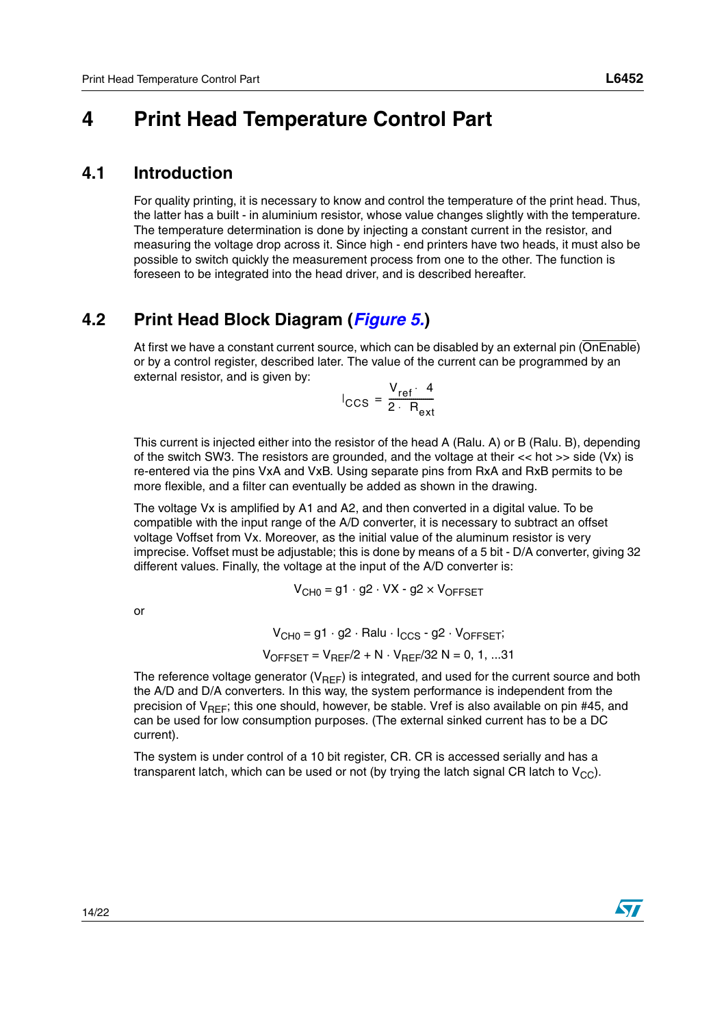# <span id="page-13-0"></span>**4 Print Head Temperature Control Part**

### <span id="page-13-1"></span>**4.1 Introduction**

For quality printing, it is necessary to know and control the temperature of the print head. Thus, the latter has a built - in aluminium resistor, whose value changes slightly with the temperature. The temperature determination is done by injecting a constant current in the resistor, and measuring the voltage drop across it. Since high - end printers have two heads, it must also be possible to switch quickly the measurement process from one to the other. The function is foreseen to be integrated into the head driver, and is described hereafter.

### <span id="page-13-2"></span>**4.2 Print Head Block Diagram (***[Figure 5.](#page-14-0)***)**

At first we have a constant current source, which can be disabled by an external pin (OnEnable) or by a control register, described later. The value of the current can be programmed by an external resistor, and is given by:

$$
I_{\text{CCS}} = \frac{V_{\text{ref}} \cdot 4}{2 \cdot R_{\text{ext}}}
$$

This current is injected either into the resistor of the head A (Ralu. A) or B (Ralu. B), depending of the switch SW3. The resistors are grounded, and the voltage at their << hot >> side (Vx) is re-entered via the pins VxA and VxB. Using separate pins from RxA and RxB permits to be more flexible, and a filter can eventually be added as shown in the drawing.

The voltage Vx is amplified by A1 and A2, and then converted in a digital value. To be compatible with the input range of the A/D converter, it is necessary to subtract an offset voltage Voffset from Vx. Moreover, as the initial value of the aluminum resistor is very imprecise. Voffset must be adjustable; this is done by means of a 5 bit - D/A converter, giving 32 different values. Finally, the voltage at the input of the A/D converter is:

$$
V_{CH0} = g1 \cdot g2 \cdot VX - g2 \times V_{OFFSET}
$$

or

 $V_{CH0} = g1 \cdot g2 \cdot Ralu \cdot I_{CCS} - g2 \cdot V_{OFFSFT}$ ;  $V_{OFFSET} = V_{REF}/2 + N \cdot V_{REF}/32 N = 0, 1, ...31$ 

The reference voltage generator ( $V_{\text{BFE}}$ ) is integrated, and used for the current source and both the A/D and D/A converters. In this way, the system performance is independent from the precision of  $V_{BFF}$ ; this one should, however, be stable. Vref is also available on pin #45, and can be used for low consumption purposes. (The external sinked current has to be a DC current).

The system is under control of a 10 bit register, CR. CR is accessed serially and has a transparent latch, which can be used or not (by trying the latch signal CR latch to  $V_{\text{CC}}$ ).

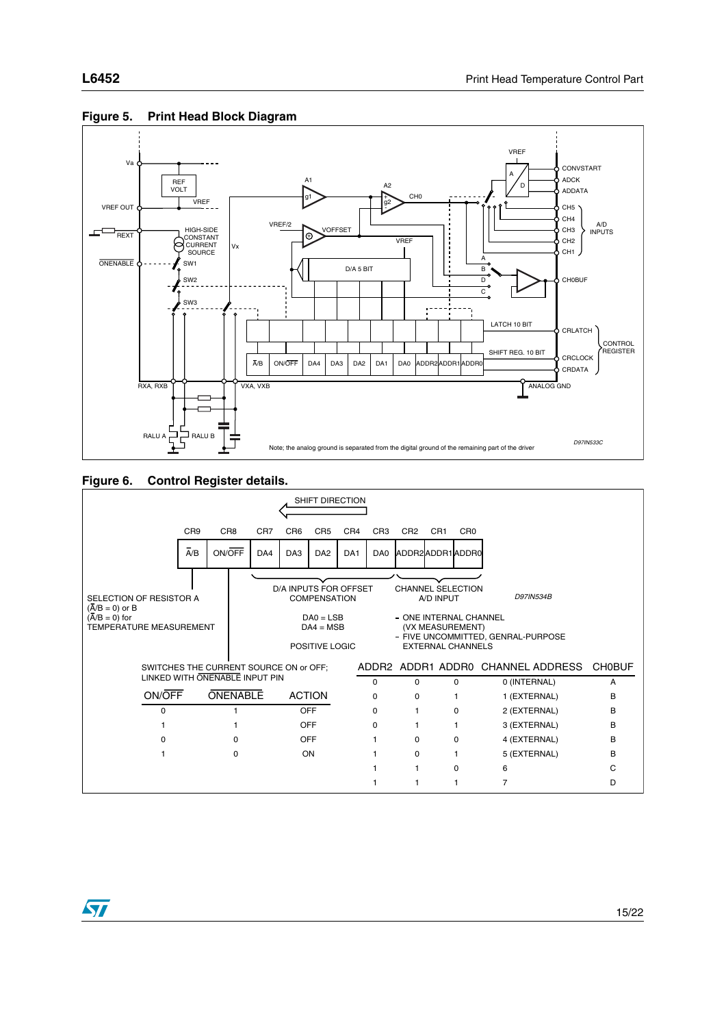

#### <span id="page-14-0"></span>**Figure 5. Print Head Block Diagram**





57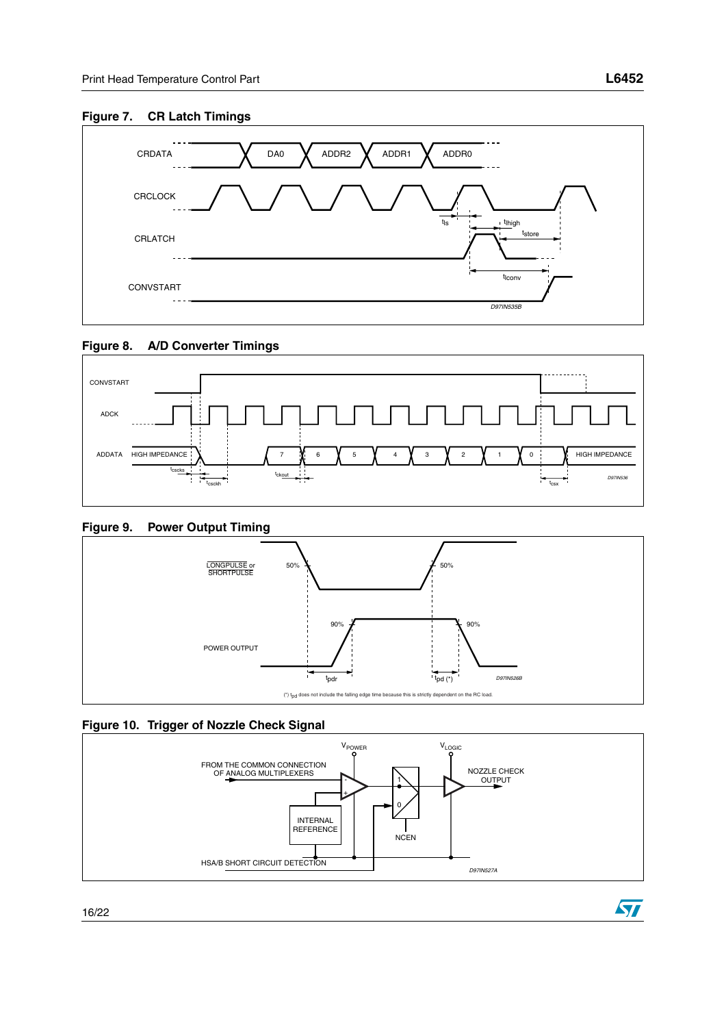

 $\sqrt{2}$ 

#### **Figure 7. CR Latch Timings**







#### **Figure 9. Power Output Timing**





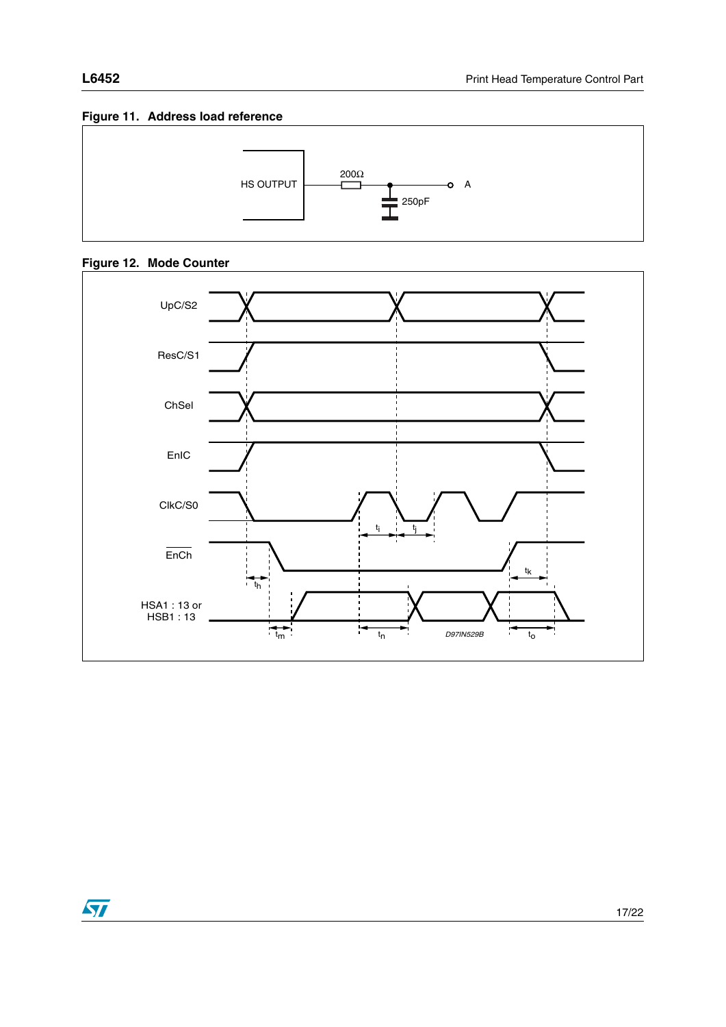### <span id="page-16-0"></span>**Figure 11. Address load reference**



### **Figure 12. Mode Counter**



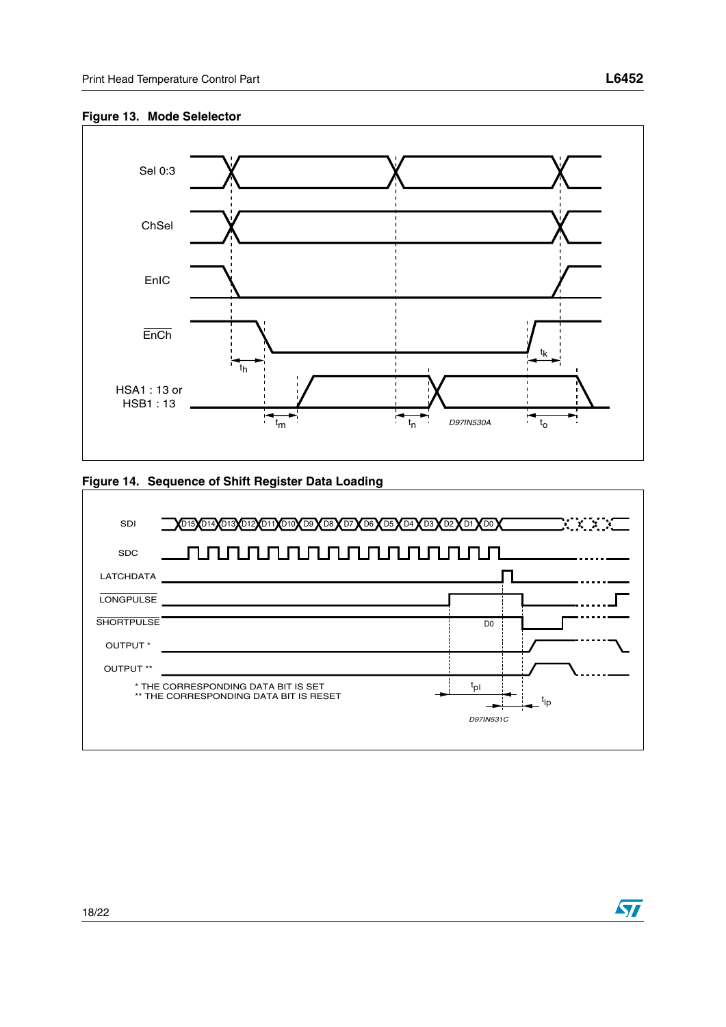#### **Figure 13. Mode Selelector**



#### <span id="page-17-0"></span>**Figure 14. Sequence of Shift Register Data Loading**



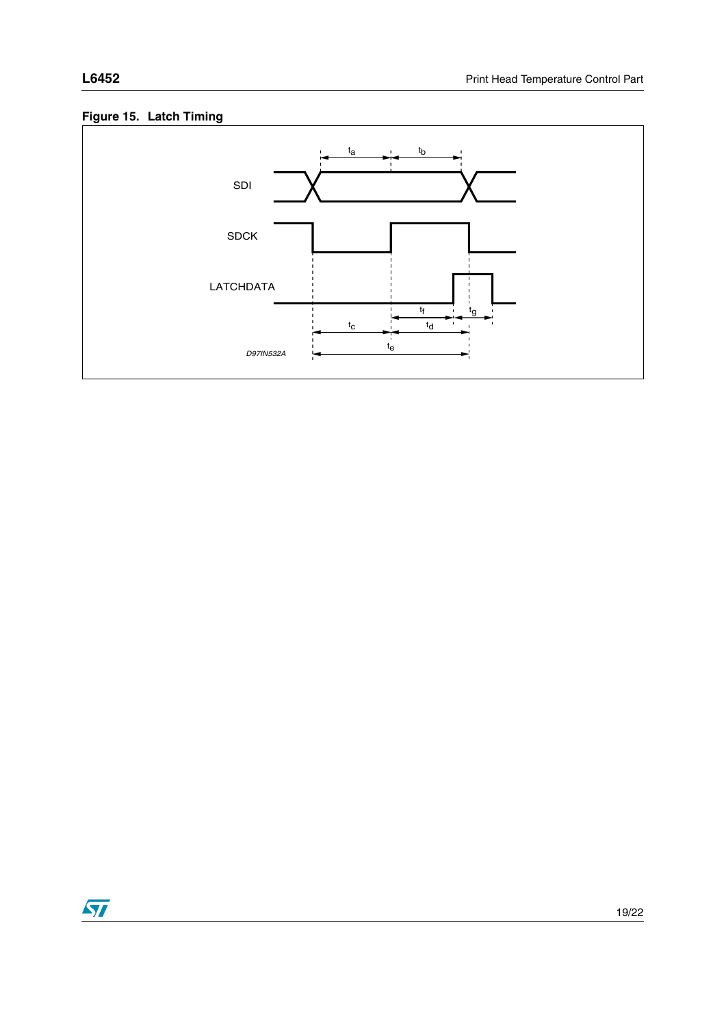



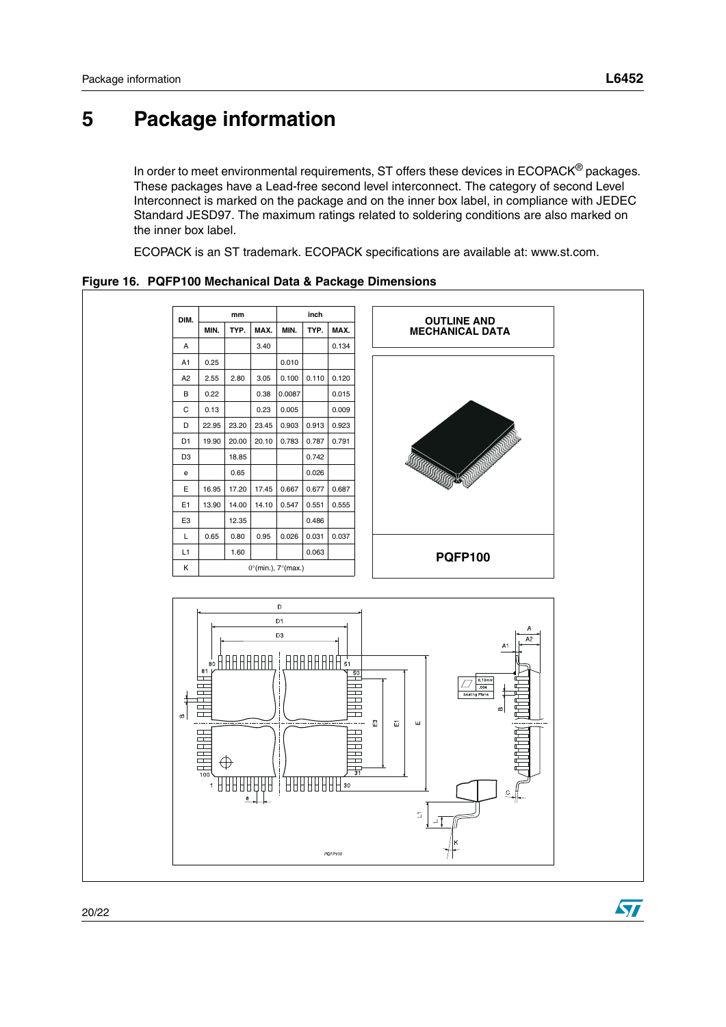ST

# <span id="page-19-0"></span>**5 Package information**

In order to meet environmental requirements, ST offers these devices in ECOPACK<sup>®</sup> packages. These packages have a Lead-free second level interconnect. The category of second Level Interconnect is marked on the package and on the inner box label, in compliance with JEDEC Standard JESD97. The maximum ratings related to soldering conditions are also marked on the inner box label.

ECOPACK is an ST trademark. ECOPACK specifications are available at: www.st.com.

**DIM. mm inch OUTLINE AND MIN. TYP. MAX. MIN. TYP. MAX. MECHANICAL DATA**A 3.40 0.134 A1 0.25 0.010 A2 2.55 2.80 3.05 0.100 0.110 0.120 B 0.22 0.38 0.0087 0.015  $C \mid 0.13 \mid 0.23 \mid 0.005 \mid 0.009$ D 22.95 23.20 23.45 0.903 0.913 0.923 D1 19.90 20.00 20.10 0.783 0.787 0.791 D3 18.85 0.742 e 0.65 0.026 E 16.95 17.20 17.45 0.667 0.677 0.687 E1 | 13.90 | 14.00 | 14.10 | 0.547 | 0.551 | 0.555 E3 12.35 0.486 L 0.65 0.80 0.95 0.026 0.031 0.037 L1 1.60 0.063 **PQFP100** K  $0^\circ$ (min.),  $7^\circ$ (max.)  $\mathbf{D}$  $D1$  $D3$ **ARAAAAA** AAAAAAAA П  $\overline{1}$  $\top$  $\overline{\phantom{0}}$  $\begin{array}{c} \square \\ \square \end{array}$ ╦ Ħ  $\Omega$  $\overline{m}$ HHHH **HHF**  $\qquad \qquad \Box$ ⊕  $\Box$ HН ┠┠┠┠┞┠┠┨╕ 88888 PQFP100

**Figure 16. PQFP100 Mechanical Data & Package Dimensions**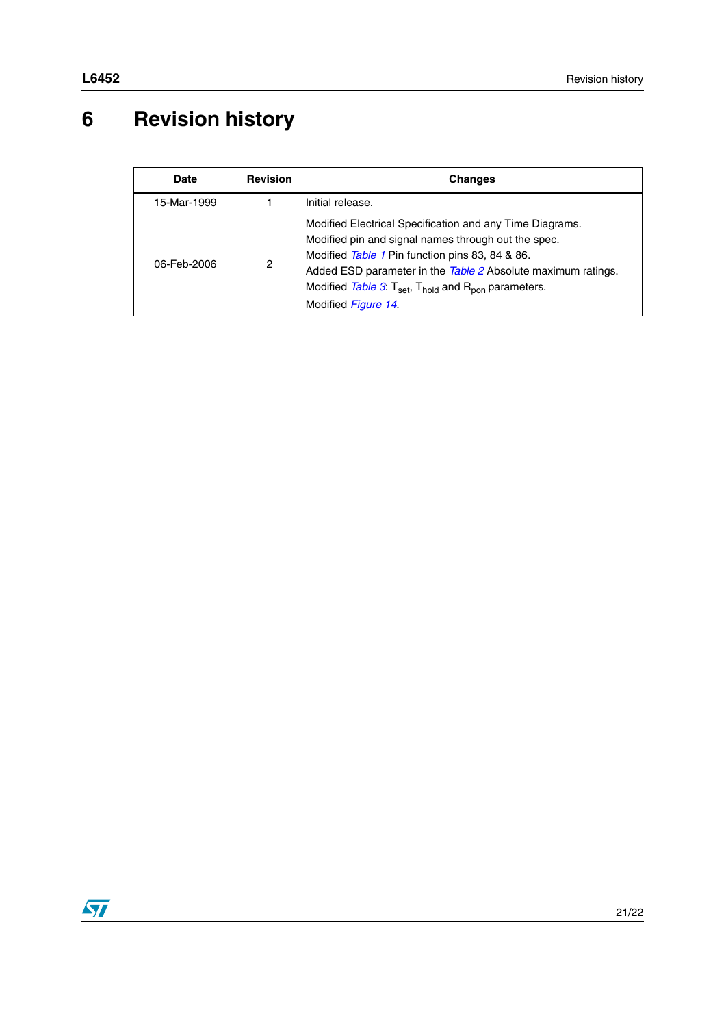# <span id="page-20-0"></span>**6 Revision history**

| <b>Date</b> | <b>Revision</b> | Changes                                                                                                                                                                                                                                                                                                                                              |
|-------------|-----------------|------------------------------------------------------------------------------------------------------------------------------------------------------------------------------------------------------------------------------------------------------------------------------------------------------------------------------------------------------|
| 15-Mar-1999 |                 | Initial release.                                                                                                                                                                                                                                                                                                                                     |
| 06-Feb-2006 | $\overline{2}$  | Modified Electrical Specification and any Time Diagrams.<br>Modified pin and signal names through out the spec.<br>Modified Table 1 Pin function pins 83, 84 & 86.<br>Added ESD parameter in the Table 2 Absolute maximum ratings.<br>Modified Table 3: $T_{\text{set}}$ , $T_{\text{hold}}$ and $R_{\text{non}}$ parameters.<br>Modified Figure 14. |